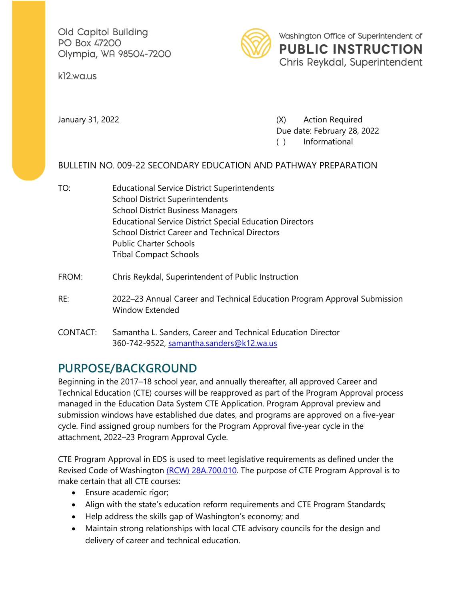Old Capitol Building PO Box 47200 Olympia, WA 98504-7200

k12.wa.us



January 31, 2022 (X) Action Required Due date: February 28, 2022 ( ) Informational

### BULLETIN NO. 009-22 SECONDARY EDUCATION AND PATHWAY PREPARATION

- TO: Educational Service District Superintendents School District Superintendents School District Business Managers Educational Service District Special Education Directors School District Career and Technical Directors Public Charter Schools Tribal Compact Schools
- FROM: Chris Reykdal, Superintendent of Public Instruction
- RE: 2022–23 Annual Career and Technical Education Program Approval Submission Window Extended
- CONTACT: Samantha L. Sanders, Career and Technical Education Director 360-742-9522, [samantha.sanders@k12.wa.us](mailto:samantha.sanders@k12.wa.us)

## **PURPOSE/BACKGROUND**

Beginning in the 2017–18 school year, and annually thereafter, all approved Career and Technical Education (CTE) courses will be reapproved as part of the Program Approval process managed in the Education Data System CTE Application. Program Approval preview and submission windows have established due dates, and programs are approved on a five-year cycle. Find assigned group numbers for the Program Approval five-year cycle in the attachment, 2022–23 Program Approval Cycle.

CTE Program Approval in EDS is used to meet legislative requirements as defined under the Revised Code of Washington (RCW) [28A.700.010.](https://app.leg.wa.gov/rcw/default.aspx?cite=28A.700.010) The purpose of CTE Program Approval is to make certain that all CTE courses:

- Ensure academic rigor;
- Align with the state's education reform requirements and CTE Program Standards;
- Help address the skills gap of Washington's economy; and
- Maintain strong relationships with local CTE advisory councils for the design and delivery of career and technical education.